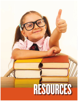# **SECRETARY 61SECRETARY** RESOURCES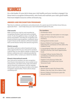# RESOURCES

As a club leader, it's your job to keep your club healthy and your members engaged. Use these tools to recognize achievements, raise funds and maintain your club's good health. Find more helpful resources online at kiwanis.org.

# **AWARDS AND RECOGNITION PROGRAMS**

Take time to celebrate contributions and achievements. It's a great way to let members know that you appreciate them — and it helps keep your club motivated throughout the year.

# **Club awards**

Make running your club fun and rewarding by recognizing members' hard work and accomplishments. It's also thoughtful to share a small gift with guests and speakers. Find ideas for recognition and awards at kiwanis.org/recognition. Looking for items to give? Check out the selection of Kiwanis-branded items at the Kiwanis Family Store (kiwanis.org/store).

#### **District awards**

Your district will have a suite of awards and recognition opportunities for your club and its members. Look for them on your district website, at district and division conferences and in materials provided by your district office. Contact your district for details.

#### **Kiwanis International awards**

Your club and its members can earn recognition from Kiwanis International too. Some awards honor achievements, and others honor clubs and individuals for financial contributions. Visit the websites listed in each section to stay up to date on the latest recognition opportunities. There's almost always something new!



# **For members**

- Life Member status.
- Legion of Honor (see description on next page).
- Ruby K pin (for inviting five or more new members).
- Distinguished member award.
- Kiwanis Children's Fund George F. Hixson Fellowship (for contribution of US\$1,000 to the Children's Fund).
- G. Harold Martin Fellow (for contribution of US\$250 to the Key Club Youth Opportunities Fund).
- Carthage-Pullman Society Fellow (for contribution of US\$250 to the Circle K Tomorrow Fund).
- Sapphire Circle Honorary Fellow (for contribution of US1,000 to the Circle K Tomorrow Fund).

#### **For the club**

- Sponsor banner patch (for Kiwanis Kids, Builders Club, Key Club, CKI or Aktion Club).
- Kiwanis Children's Fund banner patch (for Annual Club Gift).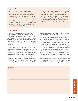#### **Legion of Honor**

With the Legion of Honor program, your club and Kiwanis International can recognize members who have accumulated a total of 25 or more years of membership (not necessarily without interruption) in one or more Kiwanis clubs.

Even a club organized within the past 25 years may have a member entitled to Legion of Honor recognition because of Kiwanis membership before joining the present club.

Legion of Honor lapel pin and/or certificates may be ordered from the Kiwanis Family Store. These items specify either "25 years" or some other multiple of five greater than 25 (e.g., 30, 35, 40, etc.). Consistency is key: Recognize Legion of Honor members in the same way each time an additional five years of service is accumulated.

# **INSURANCE**

The Kiwanis International Comprehensive General Liability Insurance Program provides legal liability insurance for clubs, members and Service Leadership Programs organizations when they become legally obligated to pay damages to third parties for bodily injury or property damage associated with a Kiwanis-family-sponsored function or activity.

This insurance covers clubs in the United States, Canada and the Caribbean. Clubs pay per member for this coverage, which is submitted with the payment of Kiwanis International dues. Clubs are authorized to allocate all premium charges, as an expense, from revenue of fundraising projects.

The provisions of the policy apply to most normal liability exposures of Kiwanis clubs. As with most insurance policies, there are exclusions, limitations and restrictions. For a list of these exclusions, see the Club Insurance Resource Guide.

Kiwanis International strongly urges its member clubs not to conduct events that would involve: (1) the use or operation of a mechanical amusement device or ride owned or operated by a Kiwanis club or Kiwanis club member, or (2) the detonation of fireworks or explosive devices detonated directly by a Kiwanis club, Kiwanis club member or other named insured. This is a legal liability policy, and it does not provide medical payment benefits or any other voluntary payment coverages. However, Kiwanis International provides medical payment coverage on a self-insured basis.

More information is contained in the Club Insurance Resource Guide, which is sent to your club secretary annually. Or find it at kiwanis.org/liability.

# **NOTES**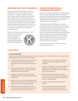# **BRANDING AND PUBLIC AWARENESS**

Your club is part of something big. Kiwanis is a global organization with clubs in more than 80 countries — and it's a global brand that every Kiwanis club and every Kiwanis member shares. When you're promoting your club in your community, be sure you're using the most current Kiwanis International branding. That way, everything you do will also support your fellow Kiwanians and their clubs around the world. The more we share our brand, the more we can do for children in our own communities and around the world.

You can find resources to support your club's

public awareness efforts at kiwanis.org/awareness. Download logos at kiwanis.org/logos and our latest brand guide at kiwanis.org/brandguide.



# **KIWANIS INTERNATIONAL'S GOVERNING DOCUMENTS**

Kiwanis International's governing documents guide Kiwanis leaders at the club, division and district levels. They include the Kiwanis International Bylaws, Kiwanis International Board Policies and Procedures, the Standard Form for District Bylaws and the Standard Form for Club Bylaws.

The Kiwanis International Bylaws can only be amended by the House of Delegates at the Kiwanis International convention (though some provisions can be amended at a meeting of the Kiwanis International council). The Kiwanis International board can revise Policies and Procedures at any time. The Standard Forms for Club Bylaws and District Bylaws are generally revised only in accordance with amendments to the Kiwanis International Bylaws, though the board can revise them at any time, if deemed necessary.

The most current version of each document is available at kiwanis.org.

# **CLUB STATUS**

#### **"In good standing"**

To be a club in good standing, a Kiwanis club must comply with the Essential Actions of a Kiwanis club as defined by the Kiwanis International board:

- A. Comply with all the provisions of the Bylaws and Policies and Procedures of Kiwanis International, its district and its federation (if any).
- B. Comply with the current Standard Form for Club Bylaws, modified as approved by the international board of trustees.
- C. Implement community-service projects, including those that support Young Children: Priority One.
- D. Sponsor or support a Kiwanis Kids program, Builders Club, Key Club, CKI club, Aktion Club or Kiwanis Junior club (where possible).
- E. Maintain an active, privileged and senior membership of not less than fifteen (15); set a goal of a net increase of at least one (1)

member per year; and stage pre-induction orientation and formal induction of new members.

- F. Pay dues, subscriptions and other obligations to Kiwanis International, its district and its federation (if any), within ninety (90) days after such amounts are due.
- G. Meet at least twice monthly with a wellmanaged, informative and fun club meeting which contains an informative program and follows a timed agenda.
- H. Schedule board meetings at least once a month.
- I. Monies received from fundraising projects in which the public participates, or from members or others for the service activities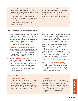sponsored by the club, shall be segregated from the administrative funds and shall be used only for charitable, educational, religious and eleemosynary activities.

- J. Complete the annual club organization, including the election and reporting of officers and the appointment of committees.
- K. Have club officers participate in club leadership education.

#### **Clubs not current with financial obligations**

#### A. **Charter suspension**

When a club fails to pay its international, district, or federation financial obligations exceeding US\$150 billed by and payable to Kiwanis International within ninety (90) days after such amounts are due, the club shall be considered not current with its financial obligations and placed on charter suspended status.

#### B. **Club delegate representation prohibited**

A club not current with its financial obligations or having outstanding dues obligations is not entitled to be represented by delegates at any district, federation (if any), or international conference or convention.

#### C. **Written notice and status report**

A notice of and reasons for not being current with its financial obligations will be sent no later than one hundred and twenty (120) days after the indebtedness is due to the last reported president and secretary of the club by the executive director or designee, and copies shall be sent to the district.

- L. Participate in district and division activities, including the fulfillment of its club delegate obligation to district conventions.
- M. File all reports as required by Kiwanis International and by the district and federation (if any).

#### D. **Charter revocation**

When a club fails to pay its international, district or federation financial obligations to Kiwanis International within eight (8) months after such amounts are due, under the International Bylaws, the club charter shall be revoked at the next Kiwanis International board meeting. Whenever the Kiwanis International board shall direct revocation of a club charter for nonpayment of financial obligations, the club's last reported president and secretary shall be notified immediately of such action by the Executive Director or designee, and copies shall be sent to the district. The club's last reported president and secretary and the district shall be informed of the pending charter revocation two (2) months prior to the charter revocation date.

#### E. **Return to "in good standing" status**

If, at any point in this process prior to charter revocation, the club pays its full indebtedness, the club shall then be returned to "in good standing" status and shall be so notified by the Executive Director or designee.

#### **Clubs at risk for low membership**

#### A. **Conditions and notice**

Within thirty (30) days after the September 30 certified membership is released, the executive director or designee will notify each district of the clubs in their district whose September 30 certified membership is below fifteen (15). Such clubs will be considered at risk.

#### B. **Assistance**

**RESOURCES**<br> **RESOURCES**<br> **RESOURCES**<br> **CONSIDER** During the period a club is deemed to be at risk, Kiwanis International and/or the district will provide membership development programs to assist the club in the process of increasing its membership to a level wherein the club can function fully and fulfill its responsibilities of a club as required in the Essential Actions.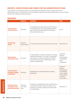# **REPORTS, VERIFICATIONS AND FORMS FOR THE ADMINISTRATIVE YEAR**

Some reports and verifications that are to be filed by the president and/or secretary during the administrative year are listed below. For other helpful materials and ordering information, see the Kiwanis Family Store catalog at kiwanis.org/store.

# **REQUIRED**

|                                                                     | <b>DONE BY</b>                    | <b>PURPOSE</b>                                                                                                                                                                                                        | <b>DUE</b>                                                                                                        |
|---------------------------------------------------------------------|-----------------------------------|-----------------------------------------------------------------------------------------------------------------------------------------------------------------------------------------------------------------------|-------------------------------------------------------------------------------------------------------------------|
| <b>Annual report</b><br>of club election                            | Secretary                         | To notify Kiwanis International and the district<br>of club officers for the coming administrative<br>year. Information will appear in the Kiwanis<br>International directory.                                        | June 1                                                                                                            |
| <b>Annual club</b><br>report                                        | President<br>and Secretary        | To report club activities and service for the year.                                                                                                                                                                   | November 30                                                                                                       |
| <b>Membership</b><br>information form                               | Secretary                         | To add, delete or transfer a member, to change<br>member information, or to add a nonmember<br>subscription to Kiwanis magazine. Available<br>online at kiwanis.org. For information, go to<br>kiwanis.org/reporting. | Submit to<br>Kiwanis<br>International<br>immediately<br>upon<br>completion.                                       |
| <b>Club president/</b><br>secretary change<br>notification          | Secretary                         | Notification is made through the secretary<br>dashboard.                                                                                                                                                              | Submit to<br>Kiwanis<br>International<br>immediately<br>upon change<br>of president/<br>secretary<br>information. |
| <b>Federal Income</b><br><b>Tax Report Form</b><br>990/990-N/990-EZ | Treasurer<br>(U.S. clubs<br>only) | Assistance is available from the local IRS center<br>or the district Kiwanis office. The IRS has the<br>authority to charge a penalty for failure to file<br>or for filing late.                                      | February 15                                                                                                       |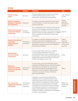# **OTHER**

|                                                                             | <b>DONE BY</b>                            | <b>PURPOSE</b>                                                                                                                                                                                                                                                                                                                                                                                                                                                                        | <b>DUE</b>                                                     |
|-----------------------------------------------------------------------------|-------------------------------------------|---------------------------------------------------------------------------------------------------------------------------------------------------------------------------------------------------------------------------------------------------------------------------------------------------------------------------------------------------------------------------------------------------------------------------------------------------------------------------------------|----------------------------------------------------------------|
| <b>Official monthly</b><br>report                                           | Secretary                                 | To report administrative and service activities<br>of the club during the month. For more<br>information, go to kiwanis.org/reporting.                                                                                                                                                                                                                                                                                                                                                | 10th of every<br>month                                         |
| <b>District convention</b><br>delegate certification<br>and registration    | <b>Attendees</b>                          | To register convention attendance and reserve<br>accommodations. Contact your district office<br>with any questions.                                                                                                                                                                                                                                                                                                                                                                  | Follow<br>due date<br>instructions<br>on form.                 |
| <b>Kiwanis International</b><br>convention delegate<br>certification        | Attendee<br>or Secretary                  | File a certification form to Kiwanis International<br>by April 30 for delegates attending the Kiwanis<br>International convention. Your club secretary can<br>file this via their secretary dashboard, or a fillable<br>PDF is available for download at kiwanis.org/<br>convention.                                                                                                                                                                                                  | April 30                                                       |
| <b>Kiwanis International</b><br>convention<br>registration and<br>housing   | Attendees to<br>convention                | To register convention attendees and reserve<br>hotel accommodations. Registration and<br>housing forms are sent in the December issue of<br>the Kiwanis magazine and are also available at<br>kiwanis.org/convention.                                                                                                                                                                                                                                                                | Follow<br>due date<br>instructions<br>in the memo<br>received. |
| <b>Annual report</b><br>for not-for-profit<br>corporations                  | Secretary                                 | In some areas (states, provinces, countries),<br>a not-for-profit corporation such as an<br>incorporated Kiwanis club is required to file an<br>annual report. Check with a local tax attorney or<br>appropriate governmental officer to determine<br>whether this applies to your club.                                                                                                                                                                                              | Varies                                                         |
| <b>Reports to</b><br>government bodies<br>relative to employee<br>coverages | Secretary or<br>Treasurer                 | In some areas, governmental bodies require<br>employers' (including Kiwanis clubs that employ<br>administrative secretaries, etc.) reports and<br>payments and Federal Unemployment Tax<br>reports for certain employees. Requirements<br>vary from country to country. Check local<br>governmental offices.                                                                                                                                                                          | Varies                                                         |
| <b>U.S. revenue act</b><br>regarding fundraising<br>solicitations           | Fundraising<br>chair (U.S.<br>clubs only) | Legislation requires that any fundraising<br>solicitation by or on behalf of Kiwanis clubs<br>and Kiwanis districts must include an express<br>statement that contributions or gifts to (insert<br>club name) are not deductible as charitable<br>contributions for federal income tax purposes.<br>The statement must be in a conspicuous and<br>easily recognizable format on all solicitations,<br>whether in written or printed form, by television<br>or radio, or by telephone. | Before any<br>fundraising<br>activity                          |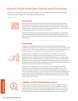# Kiwanis Youth Protection Policies and Procedures

All adults working with youth under the age of 18 at any Kiwanis event are expected to read/understand, agree to, and abide by these policies.

effective October 2021

# **EDUCATION**

Every Kiwanis club is expected to inform and educate its members annually on these policies, best practices and required actions for individuals who become aware of youth in potentially harmful situations. Each year, a club must provide members with a copy of these policies with educational training — informing them of the highest standards of conduct and awareness.

Every Kiwanis district is expected to provide an educational forum or workshop at every district-produced convention and conference regarding guidelines and best practices for adults working with youth, using materials provided by Kiwanis International.

\_\_\_\_\_\_\_\_\_\_\_\_\_\_\_\_\_\_\_\_\_\_\_\_\_\_\_\_\_\_\_\_\_\_\_\_\_\_\_\_\_\_\_\_\_\_\_\_\_\_\_\_\_\_\_\_\_\_\_\_\_\_\_\_\_\_\_\_\_

# **CHAPERONE**

A chaperone is defined as a Kiwanis member, faculty member, parent, legal guardian, or person who is in loco parentis (in the place of a parent), 21 years of age or older, who has been approved by the school or agency and registered with the school or agency to accompany the youth members at the specific event.

Chaperones for overnight events: A minimum of one adult per 10 students must be serving as chaperones during the entirety of an overnight event. All chaperones (club members and non-members) participating in any single-day or overnight Service Leadership Programs event must have a clear criminal history background check and must have completed Kiwanis International annual youth protection training. Additionally, chaperones must follow all applicable policies and procedures. (See also Procedure 432.) (2/20) (10/21)

Chaperones for single day events: A minimum of one adult per 50 students must be serving as chaperones during the entirety of a single day event. All chaperones (club members and non-members) participating in any single day Service Leadership Programs event must have a clear criminal history background check and must have completed Kiwanis International youth protection training. Additionally, chaperones must follow all applicable policies and procedures. (See also Procedure 432.) (10/21)

\_\_\_\_\_\_\_\_\_\_\_\_\_\_\_\_\_\_\_\_\_\_\_\_\_\_\_\_\_\_\_\_\_\_\_\_\_\_\_\_\_\_\_\_\_\_\_\_\_\_\_\_\_\_\_\_\_\_\_\_\_\_\_\_\_\_\_\_\_



# **CRIMINAL HISTORY BACKGROUND CHECKS**

Kiwanis clubs are required to have a clear criminal history background check conducted and verified by Kiwanis International — of any member serving as a Kiwanis advisor to any Service Leadership Programs club (Aktion Club, Circle K International, Key Club, Builders Club and K-Kids). Kiwanis International's criteria shall be followed to determine whether the background check is considered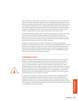clear. Background checks shall be valid for no more than two years. SLP clubs that petition to charter will only be approved once the appointed Kiwanis advisor has a clear criminal history background check conducted by Kiwanis International. Clubs are strongly encouraged to ensure confidential background checks for all adults who will work directly with youth outside of the school and/or who may not have undergone a background check. The criminal history background check should conform to applicable local and state/provincial laws and requirements.

Kiwanis International requires clear criminal history background checks conducted by its provider for all adults working with youth at all Kiwanis Internationalsponsored events. These include the Key Club International Convention, the Key Club Governor and Administrator training conference, the Key Club International Leadership Conference, and any Key Leader weekend.

All district chairpersons and committee members for all Service Leadership Programs are required to have a clear criminal history background check conducted by Kiwanis International. A district may also require criminal history background checks for other adults working with youth as part of district programs or events. (See Kiwanis International Policy B and Procedure 197 for complete information regarding criminal history background checks.)

\_\_\_\_\_\_\_\_\_\_\_\_\_\_\_\_\_\_\_\_\_\_\_\_\_\_\_\_\_\_\_\_\_\_\_\_\_\_\_\_\_\_\_\_\_\_\_\_\_\_\_\_\_\_\_\_\_\_\_\_\_\_\_\_\_\_\_\_\_

# **OVERNIGHT STAYS**

While attending a Kiwanis event that requires overnight stay in a hotel or camp/ conference setting, adult chaperoning must include no fewer than one adult male for each 10 or part of 10 youth males, and one adult female for each 10 or part of 10 youth females. Except for a parent sharing a sleeping room or other sleeping quarter (e.g., tent) with his/her own child, no adult should share a hotel or dormitory sleeping room or other sleeping quarter with a youth. In the event that sleeping quarters consist of multiple beds, such as a bunkhouse or camp cabin, adults may share the sleeping quarters with youth members of the same gender, provided that two or more adults are present.

**RESOURCES** 69 All adults (club members and non-members) registered for or staying overnight at any Service Leadership Programs event must have a clear criminal history background check and must have completed Kiwanis International annual youth protection training. However, parents/guardians of participating students who are not chaperones may attend the event for a maximum of one overnight stay without a criminal history background check.

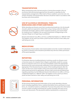

**TRANSPORTATION**

When transporting youth, the best practice is having three people in the car at all times with documented approval from the parent or guardian for the transportation arrangements. When both of these conditions cannot be met, one of them should be. All transportation decisions should be made in accordance with local laws and school policies.

\_\_\_\_\_\_\_\_\_\_\_\_\_\_\_\_\_\_\_\_\_\_\_\_\_\_\_\_\_\_\_\_\_\_\_\_\_\_\_\_\_\_\_\_\_\_\_\_\_\_\_\_\_\_\_\_\_\_\_\_\_\_\_\_\_\_\_\_\_

# **USE OF ALCOHOLIC BEVERAGES, TOBACCO, MARIJUANA AND OTHER SUBSTANCES**



While attending any Kiwanis event that is produced primarily by or for the benefit of youth, adults are expected to refrain from using or being under the influence of alcoholic beverages, tobacco and/or marijuana products, even if prescribed for medicinal use. In addition, the use and/or possession of illegal drugs or the improper/illegal use of legal drugs is prohibited.

Kiwanis International now offers a 24-hour, confidential helpline at 1-888-607-SAFE. The helpline can be used if you think a youth has been harmed or their safety and well-being are at risk.

\_\_\_\_\_\_\_\_\_\_\_\_\_\_\_\_\_\_\_\_\_\_\_\_\_\_\_\_\_\_\_\_\_\_\_\_\_\_\_\_\_\_\_\_\_\_\_\_\_\_\_\_\_\_\_\_\_\_\_\_\_\_\_\_\_\_\_\_\_



# **MEDICATIONS**

The possession of prescription and nonprescription (over-the-counter) medications by youth at a Kiwanis event should be permitted only with the written permission of the parent/guardian.

\_\_\_\_\_\_\_\_\_\_\_\_\_\_\_\_\_\_\_\_\_\_\_\_\_\_\_\_\_\_\_\_\_\_\_\_\_\_\_\_\_\_\_\_\_\_\_\_\_\_\_\_\_\_\_\_\_\_\_\_\_\_\_\_\_\_\_\_\_

# **REPORTING**



If a Kiwanian observes troubling behavior involving a youth at a Kiwanis event or becomes aware of a situation that is illegal or potentially unsafe for a young person at a Kiwanis event, he or she must immediately contact the appropriate personnel at the event and provide notification to law enforcement personnel as appropriate. If the Kiwanian becomes aware of the troubling behavior after the event, he/she must contact leaders of the event and provide notification to law enforcement personnel as appropriate. All local, state, provincial and federal laws regarding reporting must be followed. Kiwanis International now offers a 24-hour, confidential helpline at 1-888-607-SAFE. The helpline can be used if you think a youth has been harmed or their safety and well-being are at risk.



# **PERSONAL INFORMATION**

All documents bearing personal information of any youth attending a Kiwanis event, including registration forms, medical information forms, permission-to-treat forms, etc. should be treated as confidential. Processes that protect this information must be created, including minimizing the number of people who have access to any such documents. The documents shall be maintained for a minimum of

\_\_\_\_\_\_\_\_\_\_\_\_\_\_\_\_\_\_\_\_\_\_\_\_\_\_\_\_\_\_\_\_\_\_\_\_\_\_\_\_\_\_\_\_\_\_\_\_\_\_\_\_\_\_\_\_\_\_\_\_\_\_\_\_\_\_\_\_\_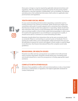three years or longer as may be required by applicable state/provincial laws and regulations. After the maintenance period has expired, the documents shall be destroyed in a way that maintains confidentiality, such as shredding. The disposal and destruction of all confidential information shall conform to applicable state/ provincial laws and regulations.

\_\_\_\_\_\_\_\_\_\_\_\_\_\_\_\_\_\_\_\_\_\_\_\_\_\_\_\_\_\_\_\_\_\_\_\_\_\_\_\_\_\_\_\_\_\_\_\_\_\_\_\_\_\_\_\_\_\_\_\_\_\_\_\_\_\_\_\_\_

# **YOUTH AND SOCIAL MEDIA**

For any social networking site that involves requesting a connection (such as inviting someone to be a friend on Facebook), adults should never initiate such connections with youth. If a youth requests such a connection from a Kiwanian, that Kiwanian should use their best judgment in responding. Adults should treat their interaction with youth on social networking sites as though the interaction were occurring in public, in front of other adults and young people. In other words, if it would not be appropriate to say something to a young person in public, it should not be said as a comment on a social networking site either.

Kiwanians should refrain from interactions that can be seen as excessive (such as constantly "liking" or commenting on a person's posts on Facebook). Prior to posting any media online, such as photographs, obtain permission from any and all individuals (or parents for minors) who appear in those media; it could be illegal to do otherwise. (See Kiwanis International Policy B for complete social media guidelines.)

\_\_\_\_\_\_\_\_\_\_\_\_\_\_\_\_\_\_\_\_\_\_\_\_\_\_\_\_\_\_\_\_\_\_\_\_\_\_\_\_\_\_\_\_\_\_\_\_\_\_\_\_\_\_\_\_\_\_\_\_\_\_\_\_\_\_\_\_\_



# **BEHAVIORAL OR HEALTH ISSUES**

Kiwanians are often seen by a young person as an adult to trust with personal and/or sensitive information. Kiwanians should refrain from counseling youth and should instead find, or assist the young person in finding, appropriate expert assistance.

\_\_\_\_\_\_\_\_\_\_\_\_\_\_\_\_\_\_\_\_\_\_\_\_\_\_\_\_\_\_\_\_\_\_\_\_\_\_\_\_\_\_\_\_\_\_\_\_\_\_\_\_\_\_\_\_\_\_\_\_\_\_\_\_\_\_\_\_\_



# **CONFLICTS WITH OTHER RULES**

Whenever these guidelines conflict with local school policies or rules, or local state/ provincial, or national laws or regulations, the highest applicable standards for conduct shall prevail.